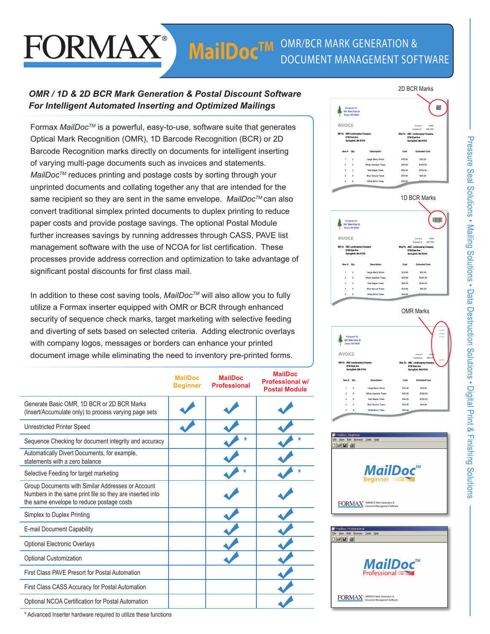# FORMAX

# *OMR / 1D & 2D BCR Mark Generation & Postal Discount Software For Intelligent Automated Inserting and Optimized Mailings*

Formax *MailDocTM* is a powerful, easy-to-use, software suite that generates Optical Mark Recognition (OMR), 1D Barcode Recognition (BCR) or 2D Barcode Recognition marks directly on documents for intelligent inserting of varying multi-page documents such as invoices and statements. *MailDoc<sup>™</sup>* reduces printing and postage costs by sorting through your unprinted documents and collating together any that are intended for the same recipient so they are sent in the same envelope. *MailDocTM* can also convert traditional simplex printed documents to duplex printing to reduce paper costs and provide postage savings. The optional Postal Module further increases savings by running addresses through CASS, PAVE list management software with the use of NCOA for list certification. These processes provide address correction and optimization to take advantage of significant postal discounts for first class mail.

In addition to these cost saving tools, *MailDocTM* will also allow you to fully utilize a Formax inserter equipped with OMR or BCR through enhanced security of sequence check marks, target marketing with selective feeding and diverting of sets based on selected criteria. Adding electronic overlays with company logos, messages or borders can enhance your printed document image while eliminating the need to inventory pre-printed forms.

|                                                                                                                                                            | <b>MailDoc</b><br><b>Beginner</b> | <b>MailDoc</b><br><b>Professional</b> | <b>MailDoc</b><br><b>Professional w/</b><br><b>Postal Module</b> |
|------------------------------------------------------------------------------------------------------------------------------------------------------------|-----------------------------------|---------------------------------------|------------------------------------------------------------------|
| Generate Basic OMR, 1D BCR or 2D BCR Marks<br>(Insert/Accumulate only) to process varying page sets                                                        |                                   |                                       |                                                                  |
| <b>Unrestricted Printer Speed</b>                                                                                                                          |                                   |                                       |                                                                  |
| Sequence Checking for document integrity and accuracy                                                                                                      |                                   |                                       |                                                                  |
| Automatically Divert Documents, for example,<br>statements with a zero balance                                                                             |                                   |                                       |                                                                  |
| Selective Feeding for target marketing                                                                                                                     |                                   |                                       |                                                                  |
| Group Documents with Similar Addresses or Account<br>Numbers in the same print file so they are inserted into<br>the same envelope to reduce postage costs |                                   |                                       |                                                                  |
| Simplex to Duplex Printing                                                                                                                                 |                                   |                                       |                                                                  |
| E-mail Document Capability                                                                                                                                 |                                   |                                       |                                                                  |
| Optional Electronic Overlays                                                                                                                               |                                   |                                       |                                                                  |
| <b>Optional Customization</b>                                                                                                                              |                                   |                                       |                                                                  |
| First Class PAVE Presort for Postal Automation                                                                                                             |                                   |                                       |                                                                  |
| First Class CASS Accuracy for Postal Automation                                                                                                            |                                   |                                       |                                                                  |
| Optional NCOA Certification for Postal Automation                                                                                                          |                                   |                                       |                                                                  |
|                                                                                                                                                            |                                   |                                       |                                                                  |







**FORMAX**<sup>®</sup> DIRIBCR Mark Generation &

\* Advanced Inserter hardware required to utilize these functions